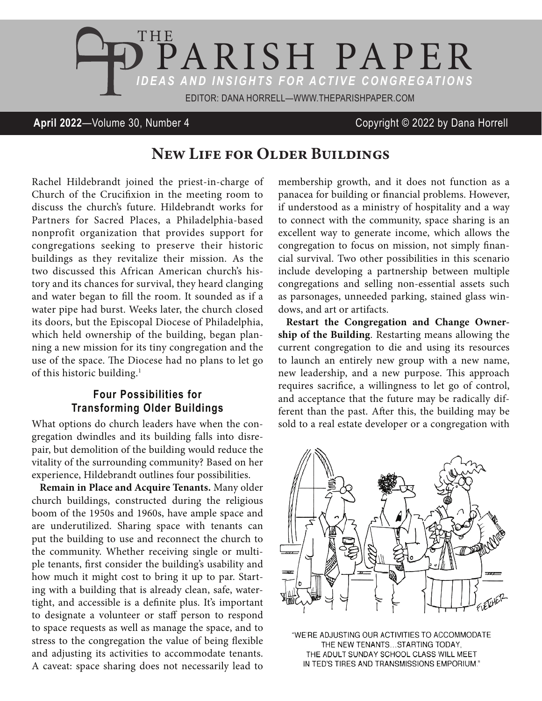

### **April 2022**—Volume 30, Number 4 Copyright © 2022 by Dana Horrell

# New Life for Older Buildings

Rachel Hildebrandt joined the priest-in-charge of Church of the Crucifixion in the meeting room to discuss the church's future. Hildebrandt works for Partners for Sacred Places, a Philadelphia-based nonprofit organization that provides support for congregations seeking to preserve their historic buildings as they revitalize their mission. As the two discussed this African American church's history and its chances for survival, they heard clanging and water began to fill the room. It sounded as if a water pipe had burst. Weeks later, the church closed its doors, but the Episcopal Diocese of Philadelphia, which held ownership of the building, began planning a new mission for its tiny congregation and the use of the space. The Diocese had no plans to let go of this historic building.1

## **Four Possibilities for Transforming Older Buildings**

What options do church leaders have when the congregation dwindles and its building falls into disrepair, but demolition of the building would reduce the vitality of the surrounding community? Based on her experience, Hildebrandt outlines four possibilities.

**Remain in Place and Acquire Tenants.** Many older church buildings, constructed during the religious boom of the 1950s and 1960s, have ample space and are underutilized. Sharing space with tenants can put the building to use and reconnect the church to the community. Whether receiving single or multiple tenants, first consider the building's usability and how much it might cost to bring it up to par. Starting with a building that is already clean, safe, watertight, and accessible is a definite plus. It's important to designate a volunteer or staff person to respond to space requests as well as manage the space, and to stress to the congregation the value of being flexible and adjusting its activities to accommodate tenants. A caveat: space sharing does not necessarily lead to

membership growth, and it does not function as a panacea for building or financial problems. However, if understood as a ministry of hospitality and a way to connect with the community, space sharing is an excellent way to generate income, which allows the congregation to focus on mission, not simply financial survival. Two other possibilities in this scenario include developing a partnership between multiple congregations and selling non-essential assets such as parsonages, unneeded parking, stained glass windows, and art or artifacts.

**Restart the Congregation and Change Ownership of the Building**. Restarting means allowing the current congregation to die and using its resources to launch an entirely new group with a new name, new leadership, and a new purpose. This approach requires sacrifice, a willingness to let go of control, and acceptance that the future may be radically different than the past. After this, the building may be sold to a real estate developer or a congregation with



"WE'RE ADJUSTING OUR ACTIVITIES TO ACCOMMODATE THE NEW TENANTS...STARTING TODAY. THE ADULT SUNDAY SCHOOL CLASS WILL MEET IN TED'S TIRES AND TRANSMISSIONS EMPORIUM."